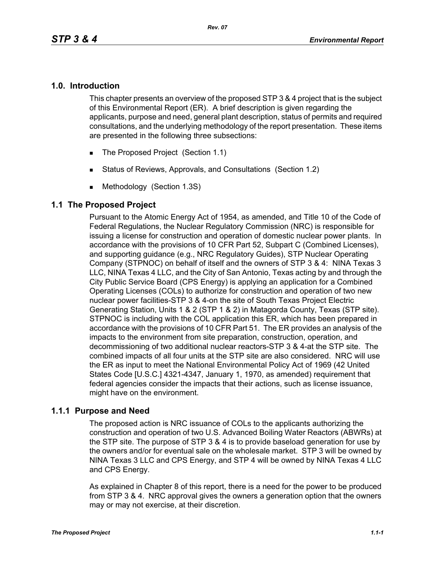#### **1.0. Introduction**

This chapter presents an overview of the proposed STP 3 & 4 project that is the subject of this Environmental Report (ER). A brief description is given regarding the applicants, purpose and need, general plant description, status of permits and required consultations, and the underlying methodology of the report presentation. These items are presented in the following three subsections:

- The Proposed Project (Section 1.1)
- Status of Reviews, Approvals, and Consultations (Section 1.2)
- **Methodology (Section 1.3S)**

#### **1.1 The Proposed Project**

Pursuant to the Atomic Energy Act of 1954, as amended, and Title 10 of the Code of Federal Regulations, the Nuclear Regulatory Commission (NRC) is responsible for issuing a license for construction and operation of domestic nuclear power plants. In accordance with the provisions of 10 CFR Part 52, Subpart C (Combined Licenses), and supporting guidance (e.g., NRC Regulatory Guides), STP Nuclear Operating Company (STPNOC) on behalf of itself and the owners of STP 3 & 4: NINA Texas 3 LLC, NINA Texas 4 LLC, and the City of San Antonio, Texas acting by and through the City Public Service Board (CPS Energy) is applying an application for a Combined Operating Licenses (COLs) to authorize for construction and operation of two new nuclear power facilities-STP 3 & 4-on the site of South Texas Project Electric Generating Station, Units 1 & 2 (STP 1 & 2) in Matagorda County, Texas (STP site). STPNOC is including with the COL application this ER, which has been prepared in accordance with the provisions of 10 CFR Part 51. The ER provides an analysis of the impacts to the environment from site preparation, construction, operation, and decommissioning of two additional nuclear reactors-STP 3 & 4-at the STP site. The combined impacts of all four units at the STP site are also considered. NRC will use the ER as input to meet the National Environmental Policy Act of 1969 (42 United States Code [U.S.C.] 4321-4347, January 1, 1970, as amended) requirement that federal agencies consider the impacts that their actions, such as license issuance, might have on the environment.

#### **1.1.1 Purpose and Need**

The proposed action is NRC issuance of COLs to the applicants authorizing the construction and operation of two U.S. Advanced Boiling Water Reactors (ABWRs) at the STP site. The purpose of STP 3 & 4 is to provide baseload generation for use by the owners and/or for eventual sale on the wholesale market. STP 3 will be owned by NINA Texas 3 LLC and CPS Energy, and STP 4 will be owned by NINA Texas 4 LLC and CPS Energy.

As explained in Chapter 8 of this report, there is a need for the power to be produced from STP 3 & 4. NRC approval gives the owners a generation option that the owners may or may not exercise, at their discretion.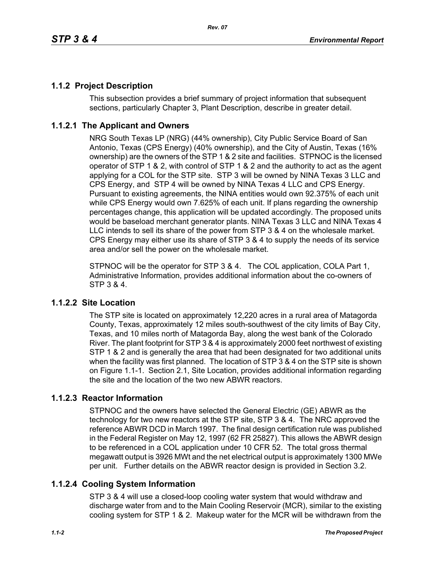# **1.1.2 Project Description**

This subsection provides a brief summary of project information that subsequent sections, particularly Chapter 3, Plant Description, describe in greater detail.

### **1.1.2.1 The Applicant and Owners**

NRG South Texas LP (NRG) (44% ownership), City Public Service Board of San Antonio, Texas (CPS Energy) (40% ownership), and the City of Austin, Texas (16% ownership) are the owners of the STP 1 & 2 site and facilities. STPNOC is the licensed operator of STP 1 & 2, with control of STP 1 & 2 and the authority to act as the agent applying for a COL for the STP site. STP 3 will be owned by NINA Texas 3 LLC and CPS Energy, and STP 4 will be owned by NINA Texas 4 LLC and CPS Energy. Pursuant to existing agreements, the NINA entities would own 92.375% of each unit while CPS Energy would own 7.625% of each unit. If plans regarding the ownership percentages change, this application will be updated accordingly. The proposed units would be baseload merchant generator plants. NINA Texas 3 LLC and NINA Texas 4 LLC intends to sell its share of the power from STP 3 & 4 on the wholesale market. CPS Energy may either use its share of STP 3 & 4 to supply the needs of its service area and/or sell the power on the wholesale market.

STPNOC will be the operator for STP 3 & 4. The COL application, COLA Part 1, Administrative Information, provides additional information about the co-owners of STP 3 & 4.

#### **1.1.2.2 Site Location**

The STP site is located on approximately 12,220 acres in a rural area of Matagorda County, Texas, approximately 12 miles south-southwest of the city limits of Bay City, Texas, and 10 miles north of Matagorda Bay, along the west bank of the Colorado River. The plant footprint for STP 3 & 4 is approximately 2000 feet northwest of existing STP 1 & 2 and is generally the area that had been designated for two additional units when the facility was first planned. The location of STP 3 & 4 on the STP site is shown on Figure 1.1-1. Section 2.1, Site Location, provides additional information regarding the site and the location of the two new ABWR reactors.

#### **1.1.2.3 Reactor Information**

STPNOC and the owners have selected the General Electric (GE) ABWR as the technology for two new reactors at the STP site, STP 3 & 4. The NRC approved the reference ABWR DCD in March 1997. The final design certification rule was published in the Federal Register on May 12, 1997 (62 FR 25827). This allows the ABWR design to be referenced in a COL application under 10 CFR 52. The total gross thermal megawatt output is 3926 MWt and the net electrical output is approximately 1300 MWe per unit. Further details on the ABWR reactor design is provided in Section 3.2.

# **1.1.2.4 Cooling System Information**

STP 3 & 4 will use a closed-loop cooling water system that would withdraw and discharge water from and to the Main Cooling Reservoir (MCR), similar to the existing cooling system for STP 1 & 2. Makeup water for the MCR will be withdrawn from the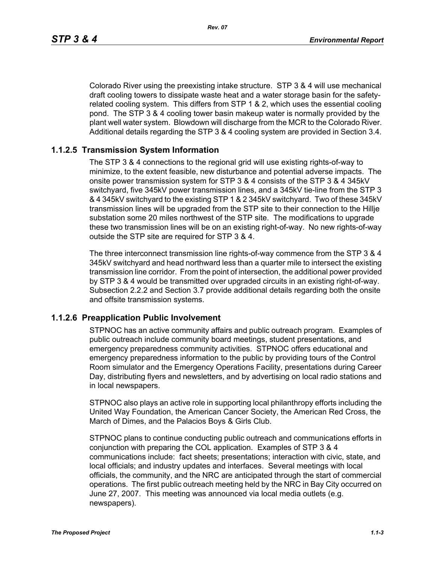*Rev. 07*

Colorado River using the preexisting intake structure. STP 3 & 4 will use mechanical draft cooling towers to dissipate waste heat and a water storage basin for the safetyrelated cooling system. This differs from STP 1 & 2, which uses the essential cooling pond. The STP 3 & 4 cooling tower basin makeup water is normally provided by the plant well water system. Blowdown will discharge from the MCR to the Colorado River. Additional details regarding the STP 3 & 4 cooling system are provided in Section 3.4.

### **1.1.2.5 Transmission System Information**

The STP 3 & 4 connections to the regional grid will use existing rights-of-way to minimize, to the extent feasible, new disturbance and potential adverse impacts. The onsite power transmission system for STP 3 & 4 consists of the STP 3 & 4 345kV switchyard, five 345kV power transmission lines, and a 345kV tie-line from the STP 3 & 4 345kV switchyard to the existing STP 1 & 2 345kV switchyard. Two of these 345kV transmission lines will be upgraded from the STP site to their connection to the Hillje substation some 20 miles northwest of the STP site. The modifications to upgrade these two transmission lines will be on an existing right-of-way. No new rights-of-way outside the STP site are required for STP 3 & 4.

The three interconnect transmission line rights-of-way commence from the STP 3 & 4 345kV switchyard and head northward less than a quarter mile to intersect the existing transmission line corridor. From the point of intersection, the additional power provided by STP 3 & 4 would be transmitted over upgraded circuits in an existing right-of-way. Subsection 2.2.2 and Section 3.7 provide additional details regarding both the onsite and offsite transmission systems.

#### **1.1.2.6 Preapplication Public Involvement**

STPNOC has an active community affairs and public outreach program. Examples of public outreach include community board meetings, student presentations, and emergency preparedness community activities. STPNOC offers educational and emergency preparedness information to the public by providing tours of the Control Room simulator and the Emergency Operations Facility, presentations during Career Day, distributing flyers and newsletters, and by advertising on local radio stations and in local newspapers.

STPNOC also plays an active role in supporting local philanthropy efforts including the United Way Foundation, the American Cancer Society, the American Red Cross, the March of Dimes, and the Palacios Boys & Girls Club.

STPNOC plans to continue conducting public outreach and communications efforts in conjunction with preparing the COL application. Examples of STP 3 & 4 communications include: fact sheets; presentations; interaction with civic, state, and local officials; and industry updates and interfaces. Several meetings with local officials, the community, and the NRC are anticipated through the start of commercial operations. The first public outreach meeting held by the NRC in Bay City occurred on June 27, 2007. This meeting was announced via local media outlets (e.g. newspapers).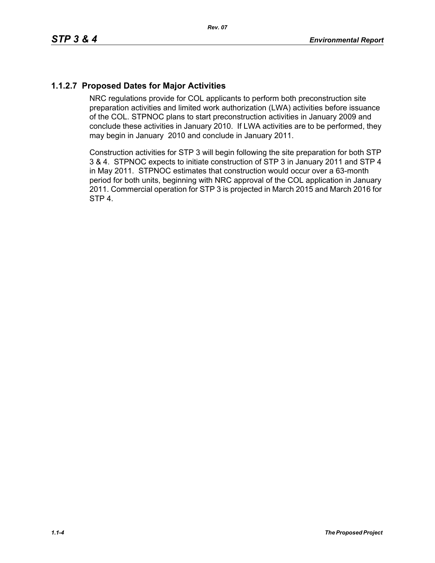# **1.1.2.7 Proposed Dates for Major Activities**

NRC regulations provide for COL applicants to perform both preconstruction site preparation activities and limited work authorization (LWA) activities before issuance of the COL. STPNOC plans to start preconstruction activities in January 2009 and conclude these activities in January 2010. If LWA activities are to be performed, they may begin in January 2010 and conclude in January 2011.

Construction activities for STP 3 will begin following the site preparation for both STP 3 & 4. STPNOC expects to initiate construction of STP 3 in January 2011 and STP 4 in May 2011. STPNOC estimates that construction would occur over a 63-month period for both units, beginning with NRC approval of the COL application in January 2011. Commercial operation for STP 3 is projected in March 2015 and March 2016 for STP 4.